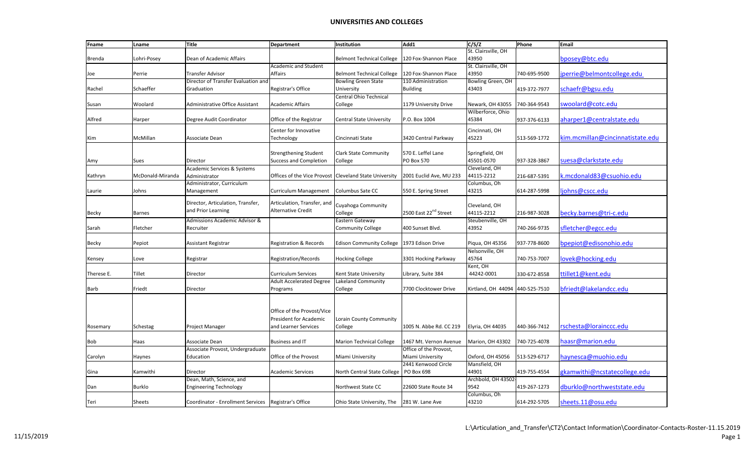| Fname      | Lname            | Title                                                | Department                        | Institution                       | Add1                              | C/S/Z                    | Phone        | Email                            |
|------------|------------------|------------------------------------------------------|-----------------------------------|-----------------------------------|-----------------------------------|--------------------------|--------------|----------------------------------|
|            |                  |                                                      |                                   |                                   |                                   | St. Clairsville, OH      |              |                                  |
| Brenda     | Lohri-Posey      | Dean of Academic Affairs                             |                                   | <b>Belmont Technical College</b>  | 120 Fox-Shannon Place             | 43950                    |              | bposey@btc.edu                   |
|            |                  |                                                      | Academic and Student              |                                   |                                   | St. Clairsville, OH      |              |                                  |
| Joe        | Perrie           | <b>Transfer Advisor</b>                              | Affairs                           | <b>Belmont Technical College</b>  | 120 Fox-Shannon Place             | 43950                    | 740-695-9500 | jperrie@belmontcollege.edu       |
|            |                  | Director of Transfer Evaluation and                  |                                   | <b>Bowling Green State</b>        | 110 Administration                | <b>Bowling Green, OH</b> |              |                                  |
| Rachel     | Schaeffer        | Graduation                                           | Registrar's Office                | University                        | <b>Building</b>                   | 43403                    | 419-372-7977 | schaefr@bgsu.edu                 |
|            |                  |                                                      |                                   | Central Ohio Technical            |                                   |                          |              |                                  |
| Susan      | Woolard          | <b>Administrative Office Assistant</b>               | <b>Academic Affairs</b>           | College                           | 1179 University Drive             | Newark, OH 43055         | 740-364-9543 | swoolard@cotc.edu                |
|            |                  |                                                      |                                   |                                   |                                   | Wilberforce, Ohio        |              |                                  |
| Alfred     | Harper           | Degree Audit Coordinator                             | Office of the Registrar           | <b>Central State University</b>   | P.O. Box 1004                     | 45384                    | 937-376-6133 | aharper1@centralstate.edu        |
|            |                  |                                                      |                                   |                                   |                                   |                          |              |                                  |
|            |                  |                                                      | Center for Innovative             |                                   |                                   | Cincinnati, OH           |              |                                  |
| Kim        | McMillan         | Associate Dean                                       | Technology                        | Cincinnati State                  | 3420 Central Parkway              | 45223                    | 513-569-1772 | kim.mcmillan@cincinnatistate.edu |
|            |                  |                                                      |                                   |                                   |                                   |                          |              |                                  |
|            |                  |                                                      | <b>Strengthening Student</b>      | <b>Clark State Community</b>      | 570 E. Leffel Lane                | Springfield, OH          |              |                                  |
| Amy        | Sues             | Director                                             | <b>Success and Completion</b>     | College                           | <b>PO Box 570</b>                 | 45501-0570               | 937-328-3867 | suesa@clarkstate.edu             |
|            |                  | Academic Services & Systems                          |                                   |                                   |                                   | Cleveland, OH            |              |                                  |
| Kathryn    | McDonald-Miranda | Administrator                                        | Offices of the Vice Provost       | <b>Cleveland State University</b> | 2001 Euclid Ave, MU 233           | 44115-2212               | 216-687-5391 | .mcdonald83@csuohio.edu          |
|            |                  | Administrator, Curriculum                            |                                   |                                   |                                   | Columbus, Oh             |              |                                  |
| Laurie     | Johns            | Management                                           | Curriculum Management             | Columbus Sate CC                  | 550 E. Spring Street              | 43215                    | 614-287-5998 | ljohns@cscc.edu                  |
|            |                  |                                                      |                                   |                                   |                                   |                          |              |                                  |
|            |                  | Director, Articulation, Transfer,                    | Articulation, Transfer, and       | Cuyahoga Community                |                                   | Cleveland, OH            |              |                                  |
| Becky      | <b>Barnes</b>    | and Prior Learning                                   | <b>Alternative Credit</b>         | College                           | 2500 East 22 <sup>nd</sup> Street | 44115-2212               | 216-987-3028 | becky.barnes@tri-c.edu           |
|            |                  | Admissions Academic Advisor &                        |                                   | Eastern Gateway                   |                                   | Steubenville, OH         |              |                                  |
| Sarah      | Fletcher         | Recruiter                                            |                                   | <b>Community College</b>          | 400 Sunset Blvd.                  | 43952                    | 740-266-9735 | sfletcher@egcc.edu               |
|            |                  |                                                      |                                   |                                   |                                   |                          |              |                                  |
| Becky      | Pepiot           | <b>Assistant Registrar</b>                           | <b>Registration &amp; Records</b> | <b>Edison Community College</b>   | 1973 Edison Drive                 | Piqua, OH 45356          | 937-778-8600 | bpepiot@edisonohio.edu           |
|            |                  |                                                      |                                   |                                   |                                   | Nelsonville, OH          |              |                                  |
|            | Love             | Registrar                                            | <b>Registration/Records</b>       | <b>Hocking College</b>            | 3301 Hocking Parkway              | 45764                    | 740-753-7007 | lovek@hocking.edu                |
| Kensey     |                  |                                                      |                                   |                                   |                                   |                          |              |                                  |
|            |                  |                                                      |                                   |                                   |                                   | Kent, OH                 |              | ttillet1@kent.edu                |
| Therese E. | Tillet           | Director                                             | <b>Curriculum Services</b>        | Kent State University             | Library, Suite 384                | 44242-0001               | 330-672-8558 |                                  |
|            |                  |                                                      | <b>Adult Accelerated Degree</b>   | Lakeland Community                |                                   |                          |              |                                  |
| Barb       | Friedt           | Director                                             | Programs                          | College                           | 7700 Clocktower Drive             | Kirtland, OH 44094       | 440-525-7510 | bfriedt@lakelandcc.edu           |
|            |                  |                                                      |                                   |                                   |                                   |                          |              |                                  |
|            |                  |                                                      |                                   |                                   |                                   |                          |              |                                  |
|            |                  |                                                      | Office of the Provost/Vice        |                                   |                                   |                          |              |                                  |
|            |                  |                                                      | President for Academic            | Lorain County Community           |                                   |                          |              |                                  |
| Rosemary   | Schestag         | Project Manager                                      | and Learner Services              | College                           | 1005 N. Abbe Rd. CC 219           | Elyria, OH 44035         | 440-366-7412 | rschesta@lorainccc.edu           |
|            |                  |                                                      |                                   |                                   |                                   |                          |              |                                  |
| Bob        | Haas             | Associate Dean                                       | <b>Business and IT</b>            | <b>Marion Technical College</b>   | 1467 Mt. Vernon Avenue            | Marion, OH 43302         | 740-725-4078 | haasr@marion.edu                 |
|            |                  | Associate Provost, Undergraduate                     |                                   |                                   | Office of the Provost,            |                          |              |                                  |
| Carolyn    | Haynes           | Education                                            | Office of the Provost             | Miami University                  | Miami University                  | Oxford, OH 45056         | 513-529-6717 | naynesca@muohio.edu              |
|            |                  |                                                      |                                   |                                   | 2441 Kenwood Circle               | Mansfield, OH            |              |                                  |
| Gina       | Kamwithi         | Director                                             | <b>Academic Services</b>          | North Central State College       | PO Box 698                        | 44901                    | 419-755-4554 | gkamwithi@ncstatecollege.edu     |
|            |                  | Dean, Math, Science, and                             |                                   |                                   |                                   | Archbold, OH 43502       |              |                                  |
| Dan        | Burklo           | <b>Engineering Technology</b>                        |                                   | Northwest State CC                | 22600 State Route 34              | 9542                     | 419-267-1273 | dburklo@northweststate.edu       |
|            |                  |                                                      |                                   |                                   |                                   | Columbus, Oh             |              |                                  |
| Teri       | <b>Sheets</b>    | Coordinator - Enrollment Services Registrar's Office |                                   | Ohio State University, The        | 281 W. Lane Ave                   | 43210                    | 614-292-5705 | sheets.11@osu.edu                |